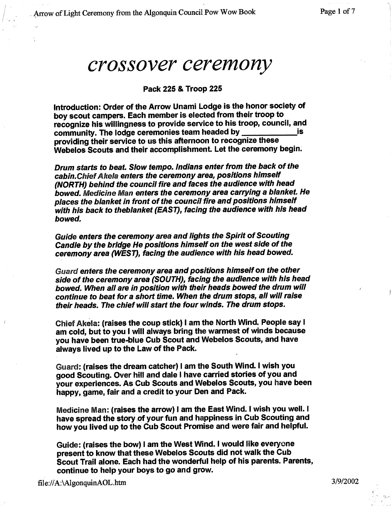## *crossover ceremony*

## **Pack 225 &** Troop 225

**Introduction**: **Order of the Arrow Unami Lodge is the honor society of boy scout campers**. **Each member is elected from their troop to recognize his willingness to provide service to his troop**, **council, and community**. **The lodge ceremonies team headed by is providing their service to us this afternoon to recognize these Webelos Scouts and their accomplishment**. **Let the ceremony begin.**

*Drum starts to beat. Slow tempo. Indians enter from the back of the cabin.ChiefAkela enters the ceremony area, positions himself (NORTH) behind the council fire and faces the audience with head bowed. Medicine Man enters the ceremony area carrying a blanket. He places the blanket in front of the council fire and positions himself with his back to theb/anket (EAST), facing the audience with his head bowed.*

*Guide enters the ceremony* **area** *and lights the Spirit of Scouting* Candle *by the bridge He positions himself on the west side of the ceremony* **area** *(WEST), facing the audience with his* **head** *bowed.*

*Guard enters the ceremony area and positions himself on the other side of the ceremony area (SOUTH), facing the audience with his head bowed. When* **all are** *in position with their heads bowed the drum will continue to beat for a short time. When the drum stops, all will* **raise** *their heads. The chief will start the four winds. The drum stops.*

Chief **Akela:** (**raises the coup stick**) **I am the North Wind. People say 1 am cold**, **but to you 1 will always bring the warmest of winds because you have been true**-**blue Cub Scout and Webelos Scouts**, **and have always lived up to the Law of the Pack.**

Guard: (**raises the dream catcher** ) **I am the South Wind. I wish you good Scouting**. **Over hill and dale I have carried stories of you and your experiences**. **As Cub Scouts and Webelos Scouts**, **you have been happy**, **game**, **fair and a credit to your Den and Pack.**

**Medicine Man** : (**raises the arrow**) **1 am the East Wind. I wish you well. I** have spread the story of your fun and happiness in Cub Scouting and **how you lived up to the Cub Scout Promise and were fair and helpful.**

**Guide** : (**raises the bow**) **I am the West Wind. I would like everyone present to know that these Webelos Scouts did not walk the Cub Scout Trail alone**. **Each had the wonderful help of his parents**. **Parents, continue to help your boys to go and grow.**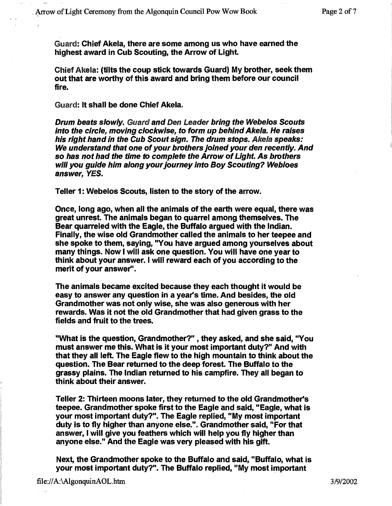Guard: Chief Akela, **there are some among us who have earned the highest award in Cub Scouting** , the Arrow of Light.

Chief Akela: (**tilts the coup stick towards Guard** ) **My brother**, **seek them out that are worthy of this award and bring them before our council** fire.

Guard: **It shall be done** Chief Akela.

*Drum beats slowly. Guard and Den Leader bring the Webelos Scouts into the circle, moving clockwise, to form up behind Ake*►*a.* **He raises** *his right hand in the Cub Scout sign. The drum* **stops**. *Akela speaks: We understand that one* **of***your brothers joined your den recently. And* **so** *has not had the time to complete the Arrow of Light, As brothers will you guide him along your journey into Boy Scouting? Webloes answer, YES.*

Teller 1: Webelos **Scouts**, **listen** to the story **of the arrow.**

**Once**, **long ago**, **when all the animals of the earth were equal** , **there was great unrest. The animals began to quarrel among themselves. The Bear quarreled with the Eagle** , **the Buffalo argued with the Indian. Finally**, **the wise old Grandmother called the animals to her teepee and she spoke to them**, **saying**, "**You have argued among yourselves about many things**. **Now I will ask one question** . **You will have one year to think about your answer. I will reward each of you according to the merit of your answer".**

**The animals became excited because they each thought it would be easy to answer any question in a year** '**s time**. **And besides**, **the old Grandmother was not only wise**, **she was also generous with her rewards**. **Was it not the old Grandmother that had given grass to the fields and fruit to the trees.**

**"What is the question, Grandmother**?" , **they asked**, **and she said, "You must answer me this**. **What is it your most important duty?**" **And with that they all left**. **The Eagle flew to the high mountain to think about the question**. **The Bear returned to the deep forest**. **The Buffalo to the grassy plains**. **The Indian returned to his campfire** . **They all began to think about their answer.**

**Teller 2: Thirteen moons later**, **they returned to the old Grandmother's teepee**. **Grandmother spoke first to the Eagle and said, "Eagle** , **what is your most important duty?**". **The Eagle replied**, "**My most important duty is to fly higher than anyone else.". Grandmother said, "For that answer**, **<sup>I</sup> will give you feathers which will help you fly higher than anyone else**." **And the Eagle was very pleased with his gift.**

**Next**, **the Grandmother spoke to the Buffalo and said**, "**Buffalo, what is your most important duty?". The Buffalo replied** , "**My most important**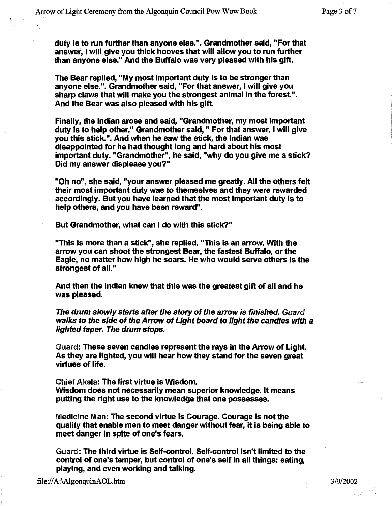**duty is to run further than anyone else.". Grandmother said, "For that answer**, **<sup>I</sup> will give you thick hooves that will allow you to run further than anyone else." And the Buffalo was very pleased with his gift.**

**The Bear replied**, "**My most important duty is to be stronger than anyone else.". Grandmother said, "For that answer** , **<sup>I</sup> will give you sharp claws that will make you the strongest animal in the forest.". And the Bear was also pleased with his gift.**

**Finally**, **the Indian arose and said** , "**Grandmother**, **my most important duty is to help other**." **Grandmother said, " For that answer, I will give you this stick**.". **And when he saw the stick**, **the Indian was disappointed for he had thought long and hard about his most important duty**. "**Grandmother**", **he said, "why do you give me a stick? Did my answer displease you?"**

**"Oh no**", **she said**, "**your answer pleased me greatly**. **All the others felt their most important duty was to themselves and they were rewarded accordingly**. **But you have learned that the most important duty is to help others**, **and you have been reward".**

**But Grandmother**, **what can I do with this stick?"**

"This is more than a stick", she replied. "This is an arrow. With the arrow you can shoot the strongest **Bear**, the fastest Buffalo, or the **Eagle**, no matter how high he soars. He who would serve others is the strongest of all."

**And then the Indian knew that this was the greatest gift of all and he was pleased.**

*The drum slowly* **starts** *after the story of the arrow is finished. Guard walks to the side of the Arrow of Light board to light the candles with a lighted taper. The drum stops.*

Guard: **These seven candles represent the rays in the Arrow of Light. As they are lighted**, **you will hear how they stand for the seven great virtues of life.**

Chief Akela: The first virtue **is Wisdom. Wisdom does not necessarily mean superior knowledge**. **It means putting the right use** to the **knowledge that one possesses.**

**Medicine Man**: **The second virtue is Courage** . **Courage is not the quality that enable men to meet danger without fear** , **it is being able to meet danger in spite of one**'**s fears.**

Guard: **The third virtue is Self-control**. **Self-control isn't limited to the control of one**'**s temper**, **but control of one**'**s self in all things: eating, playing**, **and even working and talking.**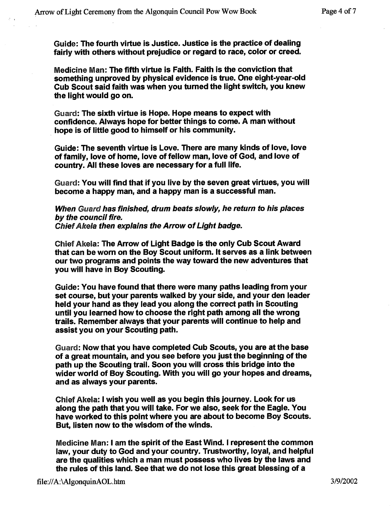**Guide: The fourth virtue is Justice** . **Justice is the practice of dealing fairly with others without prejudice or regard to race**, **color or creed.**

**Medicine Man: The fifth virtue is Faith** . **Faith is the conviction that something unproved by physical evidence is true. One eight**-**year-old Cub Scout said faith was when you turned the light switch** , **you knew the light would go on.**

Guard: The sixth **virtue is Hope**. **Hope means to expect with confidence**. Always **hope for better things to come**. **A man without hope is of little good to himself or his community.**

**Guide: The seventh virtue is Love** . **There are many kinds of love, love of family**, **love of home**, **love of fellow man, love of God, and love of country**. **All these loves are necessary for a full life.**

Guard: You will find that if you live by the seven great virtues, you will **become** a happy **man, and a happy man is a successful man.**

*When Guard has finished, drum beats slowly, he return to his places by the council fire. ChiefAkela then explains the Arrow of Light badge.*

**Chief Akela** : **The Arrow of Light Badge is the only Cub Scout Award that can be worn on the Boy Scout uniform** . **It serves as a link between our two programs and points the way toward the new adventures that you will have in Boy Scouting.**

**Guide** : **You have found that there were many paths leading from your set course**, **but your parents walked by your side, and your den leader held your hand as they lead you along the correct path in Scouting until you learned how to choose the right path among all the wrong trails**. **Remember always that your parents will continue to help and assist you on your Scouting path.**

Guard: **Now that you have completed Cub Scouts**, **you are at the base of a great mountain, and you see before you just the beginning of the path up the Scouting trail. Soon you will cross this bridge into the wider world of Boy Scouting**. **With you will go your hopes and dreams, and as always your parents.**

Chief Akela: **<sup>I</sup> wish you well as you begin this journey. Look for us along the path that you will take** . **For we also**, **seek for the Eagle. You have worked to this point where you are about to become Boy Scouts. But, listen now to the wisdom of the winds.**

**Medicine Man** : **<sup>I</sup> am the spirit of the East Wind** . **I represent the common law, your duty to God and your country**. **Trustworthy, loyal, and helpful are the qualities which a man must possess who lives by the laws and the rules of this land** . **See that we do not lose this great blessing of a**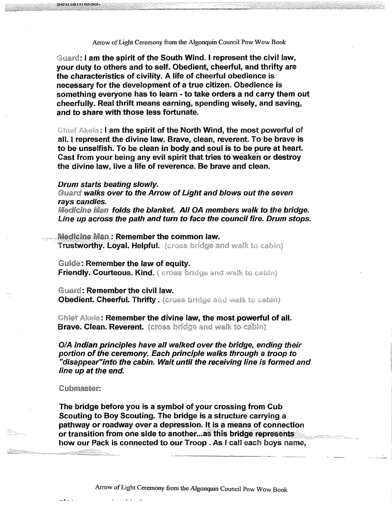Arrow of Light Ceremony from the Algonquin Council Pow Wow Book

**<sup>i</sup> am the spirit of the South Wind** . **I represent the civil law, your duty to others and to self. Obedient**, **cheerful**, **and thrifty are the characteristics of civility**. **A life of cheerful obedience is necessary for the development of a true citizen. Obedience is something everyone has to learn** - **to take orders a nd carry them out cheerfully**. **Real thrift means earning**, **spending wisely**, **and saving, and to share with those less fortunate.**

**>.: I am the spirit of the North** W**ind**, **the most powerful of all. I represent the divine law. Brave** , **clean**, **reverent**. **To be brave is** to be unselfish. To be clean in body and soul is to be pure at heart. **Cast from your being any evil spirit that tries to weaken or destroy the divine law, live a life of reverence** . **Be brave and clean.**

## *Drum starts beating slowly.*

JCIII DII IGDJ

Guard walks over to the Arrow of Light and blows out the seven *rays candles.*

*^figeryllcghe TMIa n* **folds** *the blanket. All OA members walk to the bridge. Line up* **across** *the path and turn* **to face** *the council fire. Drum stops.*

**Medicine:Man : Remember the common law. Trustworthy. Loyal. Helpful.** (cross bridge and walk to cabin)

Guide: **Remember the law of equity.** 

**Friendly**. **Courteous**. **Kind.**

Guard: Remember the civil law. **Obedient. Cheerful**. **Thrifty.**

Chiet Akela: Remember the divine law, the most powerful of all. **Brave. Clean. Reverent.** (cross bridge and walk to cabin)

*01A Indian..principles have all walked over the bridge , ending their portion ofthe:ceremony. Each principle walks through a troop to "disappear"into the* **cabin.** *Wait until the receiving line is formed and line up at the end.*

Cubmaster:

Sterne<br>Sektember

**RESERVANCE** 

**The bridge before you is a symbol of your crossing from Cub Scouting to Boy Scouting**. **The bridge is a structure carrying a pathway or roadway over a depression. It is a means of connection or transition from one side to another...as this bridge represents how our Pack is connected to our** Troop. As I call each boys name,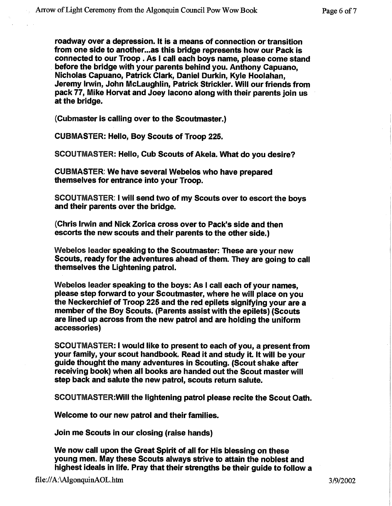**roadway over a depression** . **It is a means of connection or transition from one side to another ...as this bridge represents how our Pack is connected to our Troop** . **As I call each boys name, please come stand before the bridge with your parents behind you. Anthony Capuano, Nicholas Capuano, Patrick Clark**, **Daniel Durkin**, **Kyle Hoolahan, Jeremy Irwin, John McLaughlin**, **Patrick Strickler**. **Will our friends from pack 77**, **Mike Horvat and Joey Iacono along with their parents join us at the bridge.**

(Cubmaster **is calling over to the Scoutmaster.)**

CUBMASTER: **Hello, Boy Scouts** of Troop 225.

SCOUTMASTER: **Hello, Cub Scouts of Akela. What do you desire?**

CUBMASTER: **We have several Webelos who have prepared themselves for entrance** into your Troop.

SCOUTMASTER**: I will send two of my Scouts over to escort the boys and their parents over the bridge.**

(Chris **Irwin and Nick Zorica cross over to Pack**'**s side and then escorts the new scouts and their parents to the other side.)**

**Webelos leader speaking to the Scoutmaster: These are your new Scouts**, **ready for the adventures ahead of them**. **They are going to call themselves the Lightening patrol.**

**Webelos leader speaking to the boys**: **As 1 call each of your names, please step forward to your Scoutmaster**, **where he will place on you the Neckerchief of Troop 225 and the red epilets signifying your are a member of the Boy Scouts**. (**Parents assist with the epilets**) (**Scouts are lined up across from the new patrol and are holding the uniform accessories)**

SCOUTMASTER: **<sup>I</sup> would like to present to each of you, a present from** your **family**, **your scout handbook**. **Read it and study it**. **It will be your guide thought the many adventures in Scouting**. (**Scout shake after receiving book**) **when all books are handed out the Scout master will step back and salute the new patrol**, **scouts return salute.**

SCOUTMASTER:**W111 the lightening patrol please recite the Scout Oath.**

**Welcome to our new patrol and their families.**

**Join me Scouts in our closing** (**raise hands)**

**We now call upon the Great Spirit of all for His blessing on these young men**. **May these Scouts always strive to attain the noblest and highest ideals in life**. **Pray that their strengths be their guide to follow a**